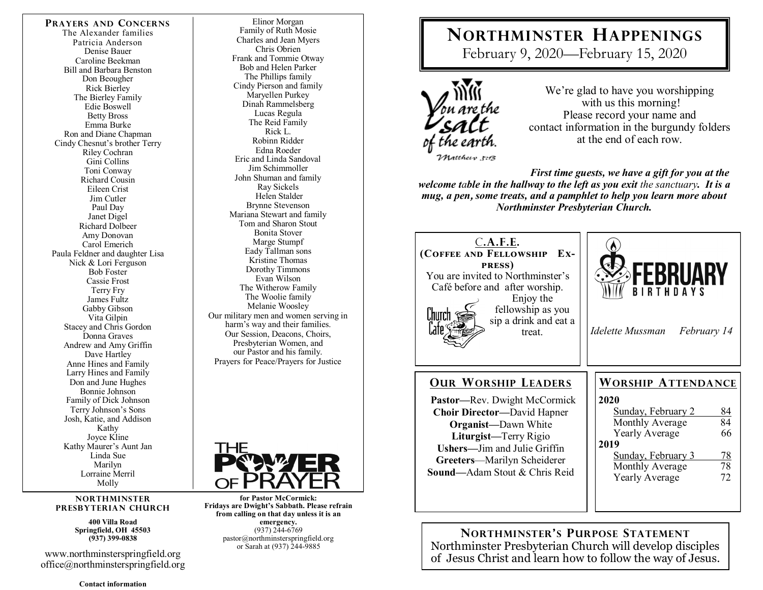**PRAYERS AND CONCERNS** The Alexander families Patricia Anderson Denise Bauer Caroline Beekman Bill and Barbara Benston Don Beougher Rick Bierley The Bierley Family Edie Boswell Betty Bross Emma Burke Ron and Diane Chapman Cindy Chesnut's brother Terry Riley Cochran Gini Collins Toni Conway Richard Cousin Eileen Crist Jim Cutler Paul Day Janet Digel Richard Dolbeer Amy Donovan Carol Emerich Paula Feldner and daughter Lisa Nick & Lori Ferguson Bob Foster Cassie Frost Terry Fry James Fultz Gabby Gibson Vita Gilpin Stacey and Chris Gordon Donna Graves Andrew and Amy Griffin Dave Hartley Anne Hines and Family Larry Hines and Family Don and June Hughes Bonnie Johnson Family of Dick Johnson Terry Johnson"s Sons Josh, Katie, and Addison Kathy Joyce Kline Kathy Maurer"s Aunt Jan Linda Sue Marilyn Lorraine Merril Molly

#### **NORTHMINSTER PRESBYTERIAN CHURCH**

**400 Villa Road Springfield, OH 45503 (937) 399-0838** 

www.northminsterspringfield.org office@northminsterspringfield.org

**Contact information** 

Elinor Morgan Family of Ruth Mosie Charles and Jean Myers Chris Obrien Frank and Tommie Otway Bob and Helen Parker The Phillips family Cindy Pierson and family Maryellen Purkey Dinah Rammelsberg Lucas Regula The Reid Family Rick L. Robinn Ridder Edna Roeder Eric and Linda Sandoval Jim Schimmoller John Shuman and family Ray Sickels Helen Stalder Brynne Stevenson Mariana Stewart and family Tom and Sharon Stout Bonita Stover Marge Stumpf Eady Tallman sons Kristine Thomas Dorothy Timmons Evan Wilson The Witherow Family The Woolie family Melanie Woosley Our military men and women serving in harm's way and their families. Our Session, Deacons, Choirs, Presbyterian Women, and our Pastor and his family. Prayers for Peace/Prayers for Justice



**for Pastor McCormick: Fridays are Dwight's Sabbath. Please refrain from calling on that day unless it is an emergency.** (937) 244-6769 pastor@northminsterspringfield.org or Sarah at (937) 244-9885

# **NORTHMINSTER HAPPENINGS**

February 9, 2020—February 15, 2020



We're glad to have you worshipping with us this morning! Please record your name and contact information in the burgundy folders at the end of each row.

*First time guests, we have a gift for you at the welcome table in the hallway to the left as you exit the sanctuary. It is a mug, a pen***,** *some treats, and a pamphlet to help you learn more about Northminster Presbyterian Church.* 



**NORTHMINSTER'S PURPOSE STATEMENT** Northminster Presbyterian Church will develop disciples of Jesus Christ and learn how to follow the way of Jesus.